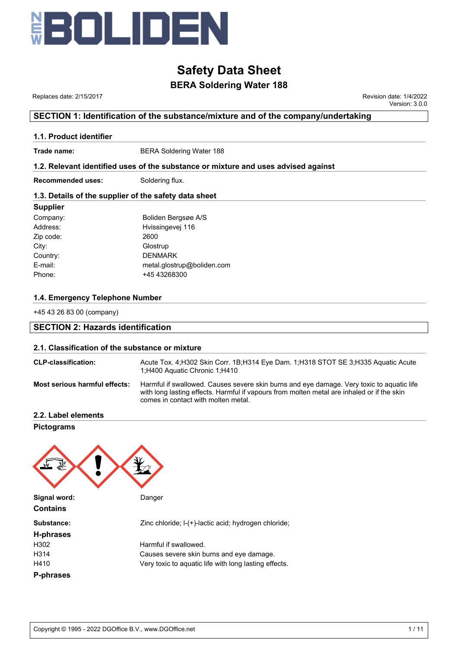

## **BERA Soldering Water 188**

 Replaces date: 2/15/2017 Revision date: 1/4/2022 Version: 3.0.0

### **SECTION 1: Identification of the substance/mixture and of the company/undertaking**

#### **1.1. Product identifier**

**Trade name:** BERA Soldering Water 188

#### **1.2. Relevant identified uses of the substance or mixture and uses advised against**

**Recommended uses:** Soldering flux.

#### **1.3. Details of the supplier of the safety data sheet**

#### **Supplier**

| Company:  | Boliden Bergsøe A/S        |
|-----------|----------------------------|
| Address:  | Hvissingevej 116           |
| Zip code: | 2600                       |
| City:     | Glostrup                   |
| Country:  | <b>DENMARK</b>             |
| E-mail:   | metal.glostrup@boliden.com |
| Phone:    | +45 43268300               |

#### **1.4. Emergency Telephone Number**

+45 43 26 83 00 (company)

## **SECTION 2: Hazards identification**

#### **2.1. Classification of the substance or mixture**

| <b>CLP-classification:</b>           | Acute Tox. 4: H302 Skin Corr. 1B: H314 Eye Dam. 1: H318 STOT SE 3: H335 Aquatic Acute<br>1:H400 Aquatic Chronic 1:H410                                                                                                         |
|--------------------------------------|--------------------------------------------------------------------------------------------------------------------------------------------------------------------------------------------------------------------------------|
| <b>Most serious harmful effects:</b> | Harmful if swallowed. Causes severe skin burns and eye damage. Very toxic to aquatic life<br>with long lasting effects. Harmful if vapours from molten metal are inhaled or if the skin<br>comes in contact with molten metal. |

**2.2. Label elements**

**Pictograms**

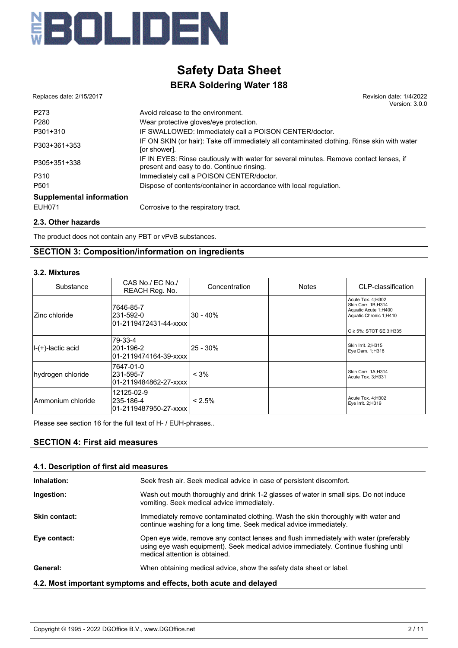

 Replaces date: 2/15/2017 Revision date: 1/4/2022 Version: 3.0.0

| P273                            | Avoid release to the environment.                                                                                                   |
|---------------------------------|-------------------------------------------------------------------------------------------------------------------------------------|
| P280                            | Wear protective gloves/eye protection.                                                                                              |
| P301+310                        | IF SWALLOWED: Immediately call a POISON CENTER/doctor.                                                                              |
| P303+361+353                    | IF ON SKIN (or hair): Take off immediately all contaminated clothing. Rinse skin with water<br>[or shower].                         |
| P305+351+338                    | IF IN EYES: Rinse cautiously with water for several minutes. Remove contact lenses, if<br>present and easy to do. Continue rinsing. |
| P310                            | Immediately call a POISON CENTER/doctor.                                                                                            |
| P <sub>501</sub>                | Dispose of contents/container in accordance with local regulation.                                                                  |
| <b>Supplemental information</b> |                                                                                                                                     |
| <b>EUH071</b>                   | Corrosive to the respiratory tract.                                                                                                 |
|                                 |                                                                                                                                     |

#### **2.3. Other hazards**

The product does not contain any PBT or vPvB substances.

### **SECTION 3: Composition/information on ingredients**

#### **3.2. Mixtures**

| Substance          | CAS No./ EC No./<br>REACH Reg. No.               | Concentration | <b>Notes</b> | CLP-classification                                                                                                        |
|--------------------|--------------------------------------------------|---------------|--------------|---------------------------------------------------------------------------------------------------------------------------|
| Zinc chloride      | 7646-85-7<br>231-592-0<br>01-2119472431-44-xxxx  | 30 - 40%      |              | Acute Tox. 4;H302<br>Skin Corr. 1B;H314<br>Aquatic Acute 1;H400<br>Aquatic Chronic 1;H410<br>$C \ge 5\%$ : STOT SE 3;H335 |
| II-(+)-lactic acid | 79-33-4<br>201-196-2<br>01-2119474164-39-xxxx    | 25 - 30%      |              | Skin Irrit. 2;H315<br>Eye Dam. 1;H318                                                                                     |
| hydrogen chloride  | 7647-01-0<br>231-595-7<br>01-2119484862-27-xxxx  | $< 3\%$       |              | Skin Corr. 1A;H314<br>Acute Tox. 3;H331                                                                                   |
| Ammonium chloride  | 12125-02-9<br>235-186-4<br>01-2119487950-27-xxxx | $< 2.5\%$     |              | Acute Tox. 4; H302<br>Eye Irrit. 2;H319                                                                                   |

Please see section 16 for the full text of H- / EUH-phrases..

### **SECTION 4: First aid measures**

#### **4.1. Description of first aid measures**

| Inhalation:          | Seek fresh air. Seek medical advice in case of persistent discomfort.                                                                                                                                          |
|----------------------|----------------------------------------------------------------------------------------------------------------------------------------------------------------------------------------------------------------|
| Ingestion:           | Wash out mouth thoroughly and drink 1-2 glasses of water in small sips. Do not induce<br>vomiting. Seek medical advice immediately.                                                                            |
| <b>Skin contact:</b> | Immediately remove contaminated clothing. Wash the skin thoroughly with water and<br>continue washing for a long time. Seek medical advice immediately.                                                        |
| Eye contact:         | Open eye wide, remove any contact lenses and flush immediately with water (preferably<br>using eye wash equipment). Seek medical advice immediately. Continue flushing until<br>medical attention is obtained. |
| General:             | When obtaining medical advice, show the safety data sheet or label.                                                                                                                                            |
|                      | 4.2. Most important symptoms and effects, both acute and delayed                                                                                                                                               |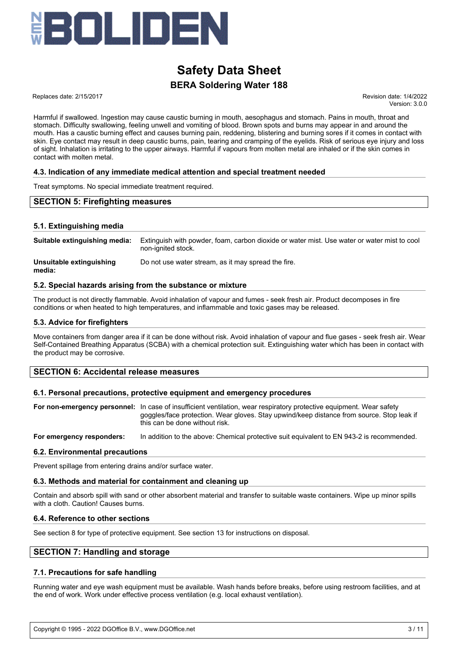

Replaces date: 2/15/2017 **Replaces** date: 1/4/2022

Version: 3.0.0

Harmful if swallowed. Ingestion may cause caustic burning in mouth, aesophagus and stomach. Pains in mouth, throat and stomach. Difficulty swallowing, feeling unwell and vomiting of blood. Brown spots and burns may appear in and around the mouth. Has a caustic burning effect and causes burning pain, reddening, blistering and burning sores if it comes in contact with skin. Eye contact may result in deep caustic burns, pain, tearing and cramping of the eyelids. Risk of serious eye injury and loss of sight. Inhalation is irritating to the upper airways. Harmful if vapours from molten metal are inhaled or if the skin comes in contact with molten metal.

#### **4.3. Indication of any immediate medical attention and special treatment needed**

Treat symptoms. No special immediate treatment required.

#### **SECTION 5: Firefighting measures**

#### **5.1. Extinguishing media**

| Suitable extinguishing media:      | Extinguish with powder, foam, carbon dioxide or water mist. Use water or water mist to cool<br>non-ignited stock. |
|------------------------------------|-------------------------------------------------------------------------------------------------------------------|
| Unsuitable extinguishing<br>media: | Do not use water stream, as it may spread the fire.                                                               |

#### **5.2. Special hazards arising from the substance or mixture**

The product is not directly flammable. Avoid inhalation of vapour and fumes - seek fresh air. Product decomposes in fire conditions or when heated to high temperatures, and inflammable and toxic gases may be released.

#### **5.3. Advice for firefighters**

Move containers from danger area if it can be done without risk. Avoid inhalation of vapour and flue gases - seek fresh air. Wear Self-Contained Breathing Apparatus (SCBA) with a chemical protection suit. Extinguishing water which has been in contact with the product may be corrosive.

#### **SECTION 6: Accidental release measures**

#### **6.1. Personal precautions, protective equipment and emergency procedures**

**For non-emergency personnel:** In case of insufficient ventilation, wear respiratory protective equipment. Wear safety goggles/face protection. Wear gloves. Stay upwind/keep distance from source. Stop leak if this can be done without risk.

**For emergency responders:** In addition to the above: Chemical protective suit equivalent to EN 943-2 is recommended.

#### **6.2. Environmental precautions**

Prevent spillage from entering drains and/or surface water.

#### **6.3. Methods and material for containment and cleaning up**

Contain and absorb spill with sand or other absorbent material and transfer to suitable waste containers. Wipe up minor spills with a cloth. Caution! Causes burns.

#### **6.4. Reference to other sections**

See section 8 for type of protective equipment. See section 13 for instructions on disposal.

#### **SECTION 7: Handling and storage**

#### **7.1. Precautions for safe handling**

Running water and eye wash equipment must be available. Wash hands before breaks, before using restroom facilities, and at the end of work. Work under effective process ventilation (e.g. local exhaust ventilation).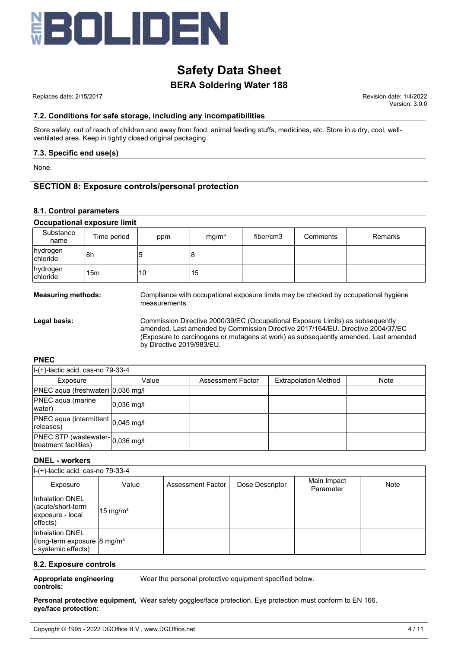

 Replaces date: 2/15/2017 Revision date: 1/4/2022 Version: 3.0.0

#### **7.2. Conditions for safe storage, including any incompatibilities**

Store safely, out of reach of children and away from food, animal feeding stuffs, medicines, etc. Store in a dry, cool, wellventilated area. Keep in tightly closed original packaging.

#### **7.3. Specific end use(s)**

None.

#### **SECTION 8: Exposure controls/personal protection**

#### **8.1. Control parameters**

|                      | <b>Occupational exposure limit</b> |     |                   |           |          |                |
|----------------------|------------------------------------|-----|-------------------|-----------|----------|----------------|
| Substance<br>name    | Time period                        | ppm | mq/m <sup>3</sup> | fiber/cm3 | Comments | <b>Remarks</b> |
| hydrogen<br>chloride | l8h                                |     | 8                 |           |          |                |
| hydrogen<br>chloride | 15 <sub>m</sub>                    | 10  | 15                |           |          |                |

**Measuring methods:** Compliance with occupational exposure limits may be checked by occupational hygiene measurements.

**Legal basis:** Commission Directive 2000/39/EC (Occupational Exposure Limits) as subsequently amended. Last amended by Commission Directive 2017/164/EU. Directive 2004/37/EC (Exposure to carcinogens or mutagens at work) as subsequently amended. Last amended by Directive 2019/983/EU.

#### **PNEC**

| $ I-(+)$ -lactic acid, cas-no 79-33-4                            |                     |                   |                             |             |
|------------------------------------------------------------------|---------------------|-------------------|-----------------------------|-------------|
| Exposure                                                         | Value               | Assessment Factor | <b>Extrapolation Method</b> | <b>Note</b> |
| PNEC aqua (freshwater) 0,036 mg/l                                |                     |                   |                             |             |
| <b>PNEC</b> aqua (marine<br>water)                               | $ 0.036 \text{ m}q$ |                   |                             |             |
| $ PNEC \text{ aqua}$ (intermittent $ _{0,045}$ mg/l<br>releases) |                     |                   |                             |             |
| PNEC STP (wastewater- 0,036 mg/l<br>treatment facilities)        |                     |                   |                             |             |

#### **DNEL - workers**

| $ I-(+)$ -lactic acid, cas-no 79-33-4                                              |                     |                   |                 |                          |      |
|------------------------------------------------------------------------------------|---------------------|-------------------|-----------------|--------------------------|------|
| Exposure                                                                           | Value               | Assessment Factor | Dose Descriptor | Main Impact<br>Parameter | Note |
| <b>Inhalation DNEL</b><br>(acute/short-term<br>exposure - local<br>leftects)       | $15 \text{ mg/m}^3$ |                   |                 |                          |      |
| Inhalation DNEL<br>(long-term exposure $ 8 \text{ mg/m}^3 $<br>- systemic effects) |                     |                   |                 |                          |      |

#### **8.2. Exposure controls**

**Appropriate engineering controls:** Wear the personal protective equipment specified below.

Personal protective equipment, Wear safety goggles/face protection. Eye protection must conform to EN 166. **eye/face protection:**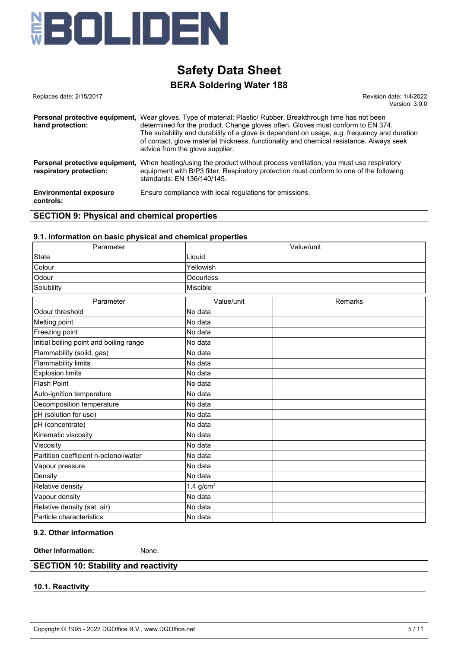

## **BERA Soldering Water 188**

Replaces date: 2/15/2017 **Replaces** date: 2/15/2017 Version: 3.0.0

| hand protection:                                          | <b>Personal protective equipment.</b> Wear gloves. Type of material: Plastic/ Rubber. Breakthrough time has not been<br>determined for the product. Change gloves often. Gloves must conform to EN 374.<br>The suitability and durability of a glove is dependant on usage, e.g. frequency and duration<br>of contact, glove material thickness, functionality and chemical resistance. Always seek<br>advice from the glove supplier. |
|-----------------------------------------------------------|----------------------------------------------------------------------------------------------------------------------------------------------------------------------------------------------------------------------------------------------------------------------------------------------------------------------------------------------------------------------------------------------------------------------------------------|
| Personal protective equipment,<br>respiratory protection: | When heating/using the product without process ventilation, you must use respiratory<br>equipment with B/P3 filter. Respiratory protection must conform to one of the following<br>standards: EN 136/140/145.                                                                                                                                                                                                                          |
| <b>Environmental exposure</b><br>controls:                | Ensure compliance with local regulations for emissions.                                                                                                                                                                                                                                                                                                                                                                                |

#### **SECTION 9: Physical and chemical properties**

#### **9.1. Information on basic physical and chemical properties**

| Parameter                               | Value/unit              |         |  |  |
|-----------------------------------------|-------------------------|---------|--|--|
| <b>State</b>                            | Liquid                  |         |  |  |
| Colour                                  | Yellowish               |         |  |  |
| Odour                                   | Odourless               |         |  |  |
| Solubility                              | Miscible                |         |  |  |
| Parameter                               | Value/unit              | Remarks |  |  |
| Odour threshold                         | No data                 |         |  |  |
| Melting point                           | No data                 |         |  |  |
| Freezing point                          | No data                 |         |  |  |
| Initial boiling point and boiling range | No data                 |         |  |  |
| Flammability (solid, gas)               | No data                 |         |  |  |
| <b>Flammability limits</b>              | No data                 |         |  |  |
| <b>Explosion limits</b>                 | No data                 |         |  |  |
| <b>Flash Point</b>                      | No data                 |         |  |  |
| Auto-ignition temperature               | No data                 |         |  |  |
| Decomposition temperature               | No data                 |         |  |  |
| pH (solution for use)                   | No data                 |         |  |  |
| pH (concentrate)                        | No data                 |         |  |  |
| Kinematic viscosity                     | No data                 |         |  |  |
| Viscosity                               | No data                 |         |  |  |
| Partition coefficient n-octonol/water   | No data                 |         |  |  |
| Vapour pressure                         | No data                 |         |  |  |
| Density                                 | No data                 |         |  |  |
| Relative density                        | $1.4$ g/cm <sup>3</sup> |         |  |  |
| Vapour density                          | No data                 |         |  |  |
| Relative density (sat. air)             | No data                 |         |  |  |
| Particle characteristics                | No data                 |         |  |  |

### **9.2. Other information**

**Other Information:** None.

#### **SECTION 10: Stability and reactivity**

#### **10.1. Reactivity**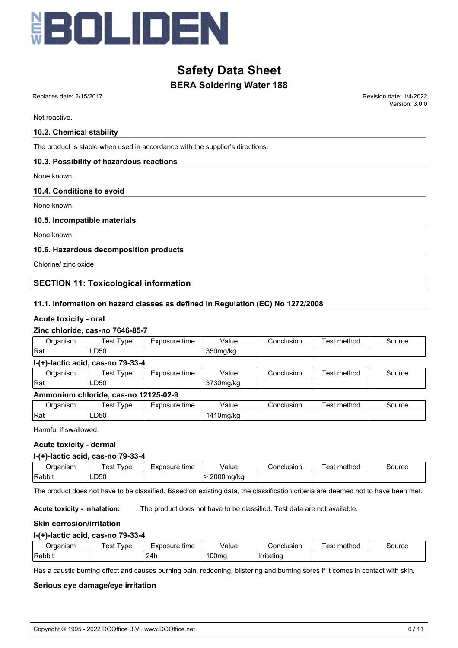

## **BERA Soldering Water 188**

Not reactive.

#### **10.2. Chemical stability**

The product is stable when used in accordance with the supplier's directions.

#### **10.3. Possibility of hazardous reactions**

None known.

#### **10.4. Conditions to avoid**

None known.

#### **10.5. Incompatible materials**

None known.

#### **10.6. Hazardous decomposition products**

Chlorine/ zinc oxide

#### **SECTION 11: Toxicological information**

#### **11.1. Information on hazard classes as defined in Regulation (EC) No 1272/2008**

#### **Acute toxicity - oral**

#### **Zinc chloride, cas-no 7646-85-7**

| Organism    | Test Type                            | Exposure time | Value     | Conclusion | Test method | Source |
|-------------|--------------------------------------|---------------|-----------|------------|-------------|--------|
| <b>IRat</b> | LD50                                 |               | 350mg/kg  |            |             |        |
|             | $I-(+)$ -lactic acid, cas-no 79-33-4 |               |           |            |             |        |
| Organism    | Test Type                            | Exposure time | Value     | Conclusion | Test method | Source |
| <b>IRat</b> | LD50                                 |               | 3730mg/kg |            |             |        |

#### **Ammonium chloride, cas-no 12125-02-9**

| )raanism<br>aanish | vpe<br>es    | time<br>วosure<br>$\overline{\phantom{a}}$ | Value                 | onclusion; | method<br>est | source |
|--------------------|--------------|--------------------------------------------|-----------------------|------------|---------------|--------|
| Rat                | ∟D50<br>$ -$ |                                            | . .a/ko<br>. .<br>. . |            |               |        |

Harmful if swallowed.

#### **Acute toxicity - dermal**

#### **l-(+)-lactic acid, cas-no 79-33-4**

| )raanism | est<br>vpe | Exposure<br>time | Value                           | Conclusion | method<br>es <sup>.</sup> | source |
|----------|------------|------------------|---------------------------------|------------|---------------------------|--------|
| Rabbit   | ∟D50       |                  | nnnn<br>na/ko<br>.JUM<br>w<br>. |            |                           |        |

The product does not have to be classified. Based on existing data, the classification criteria are deemed not to have been met.

**Acute toxicity - inhalation:** The product does not have to be classified. Test data are not available.

#### **Skin corrosion/irritation**

#### **l-(+)-lactic acid, cas-no 79-33-4**

| ⊃rɑanısm | lest<br>vpe | -<br>Exposure<br>time | Value | Conclusion  | $\overline{\phantom{a}}$<br>method<br>est | Source |
|----------|-------------|-----------------------|-------|-------------|-------------------------------------------|--------|
| Rabbit   |             | 24h                   | 00ma  | IIrritatino |                                           |        |

Has a caustic burning effect and causes burning pain, reddening, blistering and burning sores if it comes in contact with skin.

#### **Serious eye damage/eye irritation**

 Replaces date: 2/15/2017 Revision date: 1/4/2022 Version: 3.0.0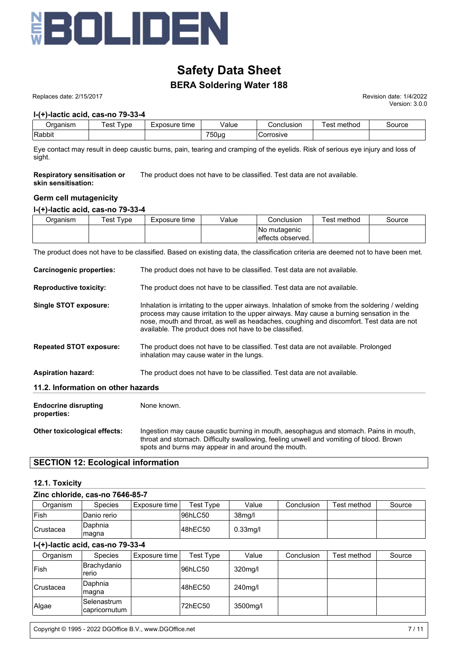

## **BERA Soldering Water 188**

Replaces date: 2/15/2017 **Replaces** date: 2/15/2017

Version: 3.0.0

#### **l-(+)-lactic acid, cas-no 79-33-4**

| ⊃rɑanısm | est<br>vpe | Exposure<br>time | Value        | Conclusion | method<br>$\alpha$<br>ငာ၊ | Source |
|----------|------------|------------------|--------------|------------|---------------------------|--------|
| 'Rabbit  |            |                  | 750µg<br>- ت | Corrosive  |                           |        |

Eye contact may result in deep caustic burns, pain, tearing and cramping of the eyelids. Risk of serious eye injury and loss of sight.

**Respiratory sensitisation or skin sensitisation:** The product does not have to be classified. Test data are not available.

#### **Germ cell mutagenicity**

#### **l-(+)-lactic acid, cas-no 79-33-4**

| Jrganism | Гest Tvpe | Exposure time | Value | Conclusion                         | Test method | Source |
|----------|-----------|---------------|-------|------------------------------------|-------------|--------|
|          |           |               |       | No mutagenic<br>leffects observed. |             |        |

The product does not have to be classified. Based on existing data, the classification criteria are deemed not to have been met.

| <b>Carcinogenic properties:</b>            | The product does not have to be classified. Test data are not available.                                                                                                                                                                                                                                                                         |
|--------------------------------------------|--------------------------------------------------------------------------------------------------------------------------------------------------------------------------------------------------------------------------------------------------------------------------------------------------------------------------------------------------|
| <b>Reproductive toxicity:</b>              | The product does not have to be classified. Test data are not available.                                                                                                                                                                                                                                                                         |
| Single STOT exposure:                      | Inhalation is irritating to the upper airways. Inhalation of smoke from the soldering / welding<br>process may cause irritation to the upper airways. May cause a burning sensation in the<br>nose, mouth and throat, as well as headaches, coughing and discomfort. Test data are not<br>available. The product does not have to be classified. |
| <b>Repeated STOT exposure:</b>             | The product does not have to be classified. Test data are not available. Prolonged<br>inhalation may cause water in the lungs.                                                                                                                                                                                                                   |
| <b>Aspiration hazard:</b>                  | The product does not have to be classified. Test data are not available.                                                                                                                                                                                                                                                                         |
| 11.2. Information on other hazards         |                                                                                                                                                                                                                                                                                                                                                  |
| <b>Endocrine disrupting</b><br>properties: | None known.                                                                                                                                                                                                                                                                                                                                      |
| Other toxicological effects:               | Ingestion may cause caustic burning in mouth, aesophagus and stomach. Pains in mouth,<br>throat and stomach. Difficulty swallowing, feeling unwell and vomiting of blood. Brown<br>spots and burns may appear in and around the mouth.                                                                                                           |

#### **SECTION 12: Ecological information**

#### **12.1. Toxicity**

|                  | Zinc chloride, cas-no 7646-85-7 |               |           |                     |            |             |        |
|------------------|---------------------------------|---------------|-----------|---------------------|------------|-------------|--------|
| Organism         | <b>Species</b>                  | Exposure time | Test Type | Value               | Conclusion | Test method | Source |
| <b>IFish</b>     | Danio rerio                     |               | l96hLC50  | 38 <sub>mg</sub> /l |            |             |        |
| <b>Crustacea</b> | Daphnia<br>magna                |               | 48hEC50   | $0.33$ mg/l         |            |             |        |

#### **l-(+)-lactic acid, cas-no 79-33-4**

| Organism          | <b>Species</b>               | Exposure time | Test Type | Value    | Conclusion | Test method | Source |
|-------------------|------------------------------|---------------|-----------|----------|------------|-------------|--------|
| <b> Fish</b>      | Brachydanio<br>rerio         |               | 96hLC50   | 320mg/l  |            |             |        |
| <b>ICrustacea</b> | Daphnia<br>∣maqna            |               | 48hEC50   | 240mg/l  |            |             |        |
| Algae             | Selenastrum<br>capricornutum |               | 72hEC50   | 3500mg/l |            |             |        |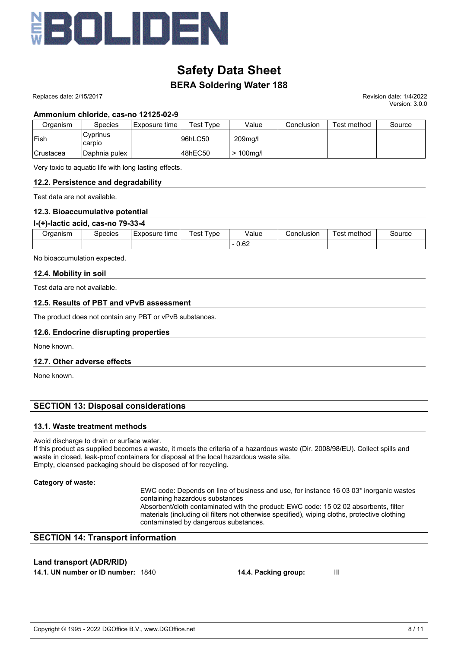

## **BERA Soldering Water 188**

 Replaces date: 2/15/2017 Revision date: 1/4/2022 Version: 3.0.0

#### **Ammonium chloride, cas-no 12125-02-9**

| Organism         | <b>Species</b>     | Exposure time | Test Type | Value       | Conclusion | Test method | Source |
|------------------|--------------------|---------------|-----------|-------------|------------|-------------|--------|
| lFish            | Cyprinus<br>carpio |               | 96hLC50   | 209mg/l     |            |             |        |
| <b>Crustacea</b> | Daphnia pulex      |               | 48hEC50   | $>100$ mg/l |            |             |        |

Very toxic to aquatic life with long lasting effects.

#### **12.2. Persistence and degradability**

Test data are not available.

#### **12.3. Bioaccumulative potential**

#### **l-(+)-lactic acid, cas-no 79-33-4**

| <i>I</i> rganism | species | time<br>Exposure | 'est<br>' vpe | Value                 | Conclusion | –<br>est<br>∵method | source |
|------------------|---------|------------------|---------------|-----------------------|------------|---------------------|--------|
|                  |         |                  |               | ഹ<br>∪.o∠<br>-<br>___ |            |                     |        |

No bioaccumulation expected.

#### **12.4. Mobility in soil**

Test data are not available.

#### **12.5. Results of PBT and vPvB assessment**

The product does not contain any PBT or vPvB substances.

#### **12.6. Endocrine disrupting properties**

None known.

#### **12.7. Other adverse effects**

None known.

#### **SECTION 13: Disposal considerations**

#### **13.1. Waste treatment methods**

Avoid discharge to drain or surface water.

If this product as supplied becomes a waste, it meets the criteria of a hazardous waste (Dir. 2008/98/EU). Collect spills and waste in closed, leak-proof containers for disposal at the local hazardous waste site. Empty, cleansed packaging should be disposed of for recycling.

#### **Category of waste:**

EWC code: Depends on line of business and use, for instance 16 03 03\* inorganic wastes containing hazardous substances

Absorbent/cloth contaminated with the product: EWC code: 15 02 02 absorbents, filter materials (including oil filters not otherwise specified), wiping cloths, protective clothing contaminated by dangerous substances.

#### **SECTION 14: Transport information**

#### **Land transport (ADR/RID)**

**14.1. UN number or ID number:** 1840 **14.4. Packing group:** III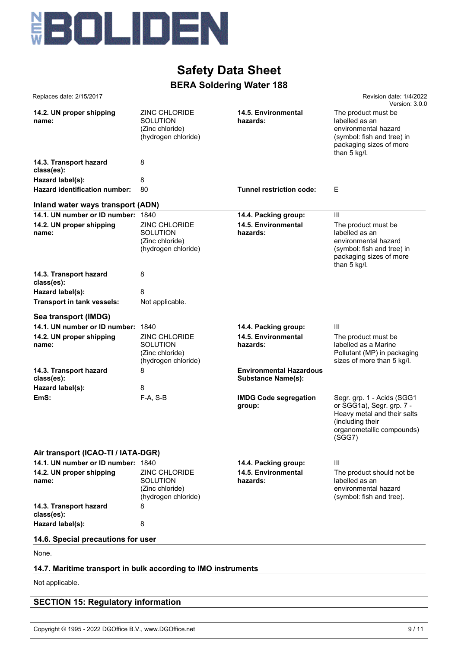

| Replaces date: 2/15/2017                                           |                                                                                    |                                                             | Revision date: 1/4/2022<br>Version: 3.0.0                                                                                                         |
|--------------------------------------------------------------------|------------------------------------------------------------------------------------|-------------------------------------------------------------|---------------------------------------------------------------------------------------------------------------------------------------------------|
| 14.2. UN proper shipping<br>name:                                  | ZINC CHLORIDE<br><b>SOLUTION</b><br>(Zinc chloride)<br>(hydrogen chloride)         | 14.5. Environmental<br>hazards:                             | The product must be<br>labelled as an<br>environmental hazard<br>(symbol: fish and tree) in<br>packaging sizes of more<br>than 5 kg/l.            |
| 14.3. Transport hazard<br>class(es):                               | 8                                                                                  |                                                             |                                                                                                                                                   |
| Hazard label(s):                                                   | 8                                                                                  |                                                             |                                                                                                                                                   |
| Hazard identification number:                                      | 80                                                                                 | Tunnel restriction code:                                    | Е                                                                                                                                                 |
| Inland water ways transport (ADN)                                  |                                                                                    |                                                             |                                                                                                                                                   |
| 14.1. UN number or ID number:<br>14.2. UN proper shipping<br>name: | 1840<br>ZINC CHLORIDE<br><b>SOLUTION</b><br>(Zinc chloride)<br>(hydrogen chloride) | 14.4. Packing group:<br>14.5. Environmental<br>hazards:     | III<br>The product must be<br>labelled as an<br>environmental hazard<br>(symbol: fish and tree) in<br>packaging sizes of more<br>than 5 kg/l.     |
| 14.3. Transport hazard<br>class(es):                               | 8                                                                                  |                                                             |                                                                                                                                                   |
| Hazard label(s):                                                   | 8                                                                                  |                                                             |                                                                                                                                                   |
| Transport in tank vessels:                                         | Not applicable.                                                                    |                                                             |                                                                                                                                                   |
| Sea transport (IMDG)                                               |                                                                                    |                                                             |                                                                                                                                                   |
| 14.1. UN number or ID number:                                      | 1840                                                                               | 14.4. Packing group:                                        | Ш                                                                                                                                                 |
| 14.2. UN proper shipping<br>name:                                  | ZINC CHLORIDE<br><b>SOLUTION</b><br>(Zinc chloride)<br>(hydrogen chloride)         | 14.5. Environmental<br>hazards:                             | The product must be<br>labelled as a Marine<br>Pollutant (MP) in packaging<br>sizes of more than 5 kg/l.                                          |
| 14.3. Transport hazard<br>class(es):                               | 8                                                                                  | <b>Environmental Hazardous</b><br><b>Substance Name(s):</b> |                                                                                                                                                   |
| Hazard label(s):                                                   | 8                                                                                  |                                                             |                                                                                                                                                   |
| EmS:                                                               | $F-A, S-B$                                                                         | <b>IMDG Code segregation</b><br>group:                      | Segr. grp. 1 - Acids (SGG1<br>or SGG1a), Segr. grp. 7 -<br>Heavy metal and their salts<br>(including their<br>organometallic compounds)<br>(SGG7) |
| Air transport (ICAO-TI / IATA-DGR)                                 |                                                                                    |                                                             |                                                                                                                                                   |
| 14.1. UN number or ID number: 1840                                 |                                                                                    | 14.4. Packing group:                                        | Ш                                                                                                                                                 |
| 14.2. UN proper shipping<br>name:                                  | <b>ZINC CHLORIDE</b><br><b>SOLUTION</b><br>(Zinc chloride)<br>(hydrogen chloride)  | 14.5. Environmental<br>hazards:                             | The product should not be<br>labelled as an<br>environmental hazard<br>(symbol: fish and tree).                                                   |
| 14.3. Transport hazard<br>class(es):                               | 8                                                                                  |                                                             |                                                                                                                                                   |
| Hazard label(s):                                                   | 8                                                                                  |                                                             |                                                                                                                                                   |
| 14.6. Special precautions for user                                 |                                                                                    |                                                             |                                                                                                                                                   |
| None.                                                              |                                                                                    |                                                             |                                                                                                                                                   |
| 14.7. Maritime transport in bulk according to IMO instruments      |                                                                                    |                                                             |                                                                                                                                                   |
| Not applicable.                                                    |                                                                                    |                                                             |                                                                                                                                                   |

## **SECTION 15: Regulatory information**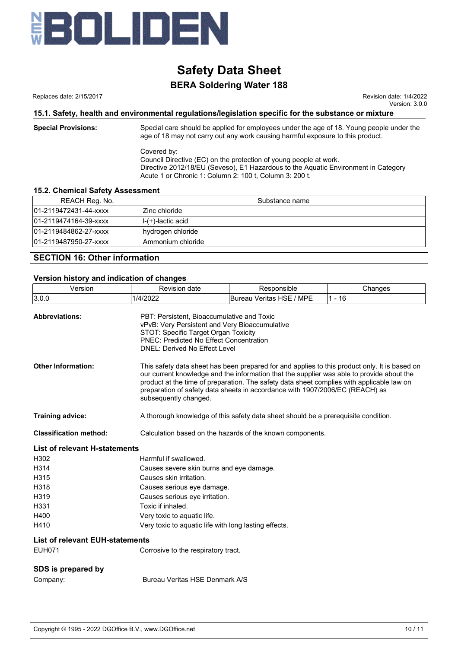

## **BERA Soldering Water 188**

Replaces date: 2/15/2017 Revision date: 1/4/2022 Version: 3.0.0

#### **15.1. Safety, health and environmental regulations/legislation specific for the substance or mixture**

**Special Provisions:** Special care should be applied for employees under the age of 18. Young people under the age of 18 may not carry out any work causing harmful exposure to this product.

> Covered by: Council Directive (EC) on the protection of young people at work. Directive 2012/18/EU (Seveso), E1 Hazardous to the Aquatic Environment in Category Acute 1 or Chronic 1: Column 2: 100 t, Column 3: 200 t.

#### **15.2. Chemical Safety Assessment**

| REACH Reg. No.        | Substance name        |
|-----------------------|-----------------------|
| 01-2119472431-44-xxxx | Zinc chloride         |
| 01-2119474164-39-xxxx | $ I-(+)$ -lactic acid |
| 01-2119484862-27-xxxx | hydrogen chloride     |
| 01-2119487950-27-xxxx | Ammonium chloride     |
|                       |                       |

#### **SECTION 16: Other information**

# **Version history and indication of changes**

| Version                                | <b>Revision date</b>                                                                                                                                                                                                                                                                                                                                                                             | Responsible              | Changes  |
|----------------------------------------|--------------------------------------------------------------------------------------------------------------------------------------------------------------------------------------------------------------------------------------------------------------------------------------------------------------------------------------------------------------------------------------------------|--------------------------|----------|
| 3.0.0                                  | 1/4/2022                                                                                                                                                                                                                                                                                                                                                                                         | Bureau Veritas HSE / MPE | $1 - 16$ |
| <b>Abbreviations:</b>                  | PBT: Persistent, Bioaccumulative and Toxic<br>vPvB: Very Persistent and Very Bioaccumulative<br>STOT: Specific Target Organ Toxicity<br><b>PNEC: Predicted No Effect Concentration</b><br><b>DNEL: Derived No Effect Level</b>                                                                                                                                                                   |                          |          |
| <b>Other Information:</b>              | This safety data sheet has been prepared for and applies to this product only. It is based on<br>our current knowledge and the information that the supplier was able to provide about the<br>product at the time of preparation. The safety data sheet complies with applicable law on<br>preparation of safety data sheets in accordance with 1907/2006/EC (REACH) as<br>subsequently changed. |                          |          |
| Training advice:                       | A thorough knowledge of this safety data sheet should be a prerequisite condition.                                                                                                                                                                                                                                                                                                               |                          |          |
| <b>Classification method:</b>          | Calculation based on the hazards of the known components.                                                                                                                                                                                                                                                                                                                                        |                          |          |
| <b>List of relevant H-statements</b>   |                                                                                                                                                                                                                                                                                                                                                                                                  |                          |          |
| H302                                   | Harmful if swallowed.                                                                                                                                                                                                                                                                                                                                                                            |                          |          |
| H314                                   | Causes severe skin burns and eye damage.                                                                                                                                                                                                                                                                                                                                                         |                          |          |
| H315                                   | Causes skin irritation.                                                                                                                                                                                                                                                                                                                                                                          |                          |          |
| H318                                   | Causes serious eye damage.                                                                                                                                                                                                                                                                                                                                                                       |                          |          |
| H319                                   | Causes serious eye irritation.                                                                                                                                                                                                                                                                                                                                                                   |                          |          |
| H331                                   | Toxic if inhaled.                                                                                                                                                                                                                                                                                                                                                                                |                          |          |
| H400                                   | Very toxic to aquatic life.                                                                                                                                                                                                                                                                                                                                                                      |                          |          |
| H410                                   | Very toxic to aquatic life with long lasting effects.                                                                                                                                                                                                                                                                                                                                            |                          |          |
| <b>List of relevant EUH-statements</b> |                                                                                                                                                                                                                                                                                                                                                                                                  |                          |          |
| <b>EUH071</b>                          | Corrosive to the respiratory tract.                                                                                                                                                                                                                                                                                                                                                              |                          |          |
| SDS is prepared by                     |                                                                                                                                                                                                                                                                                                                                                                                                  |                          |          |
| Company:                               | Bureau Veritas HSE Denmark A/S                                                                                                                                                                                                                                                                                                                                                                   |                          |          |
|                                        |                                                                                                                                                                                                                                                                                                                                                                                                  |                          |          |